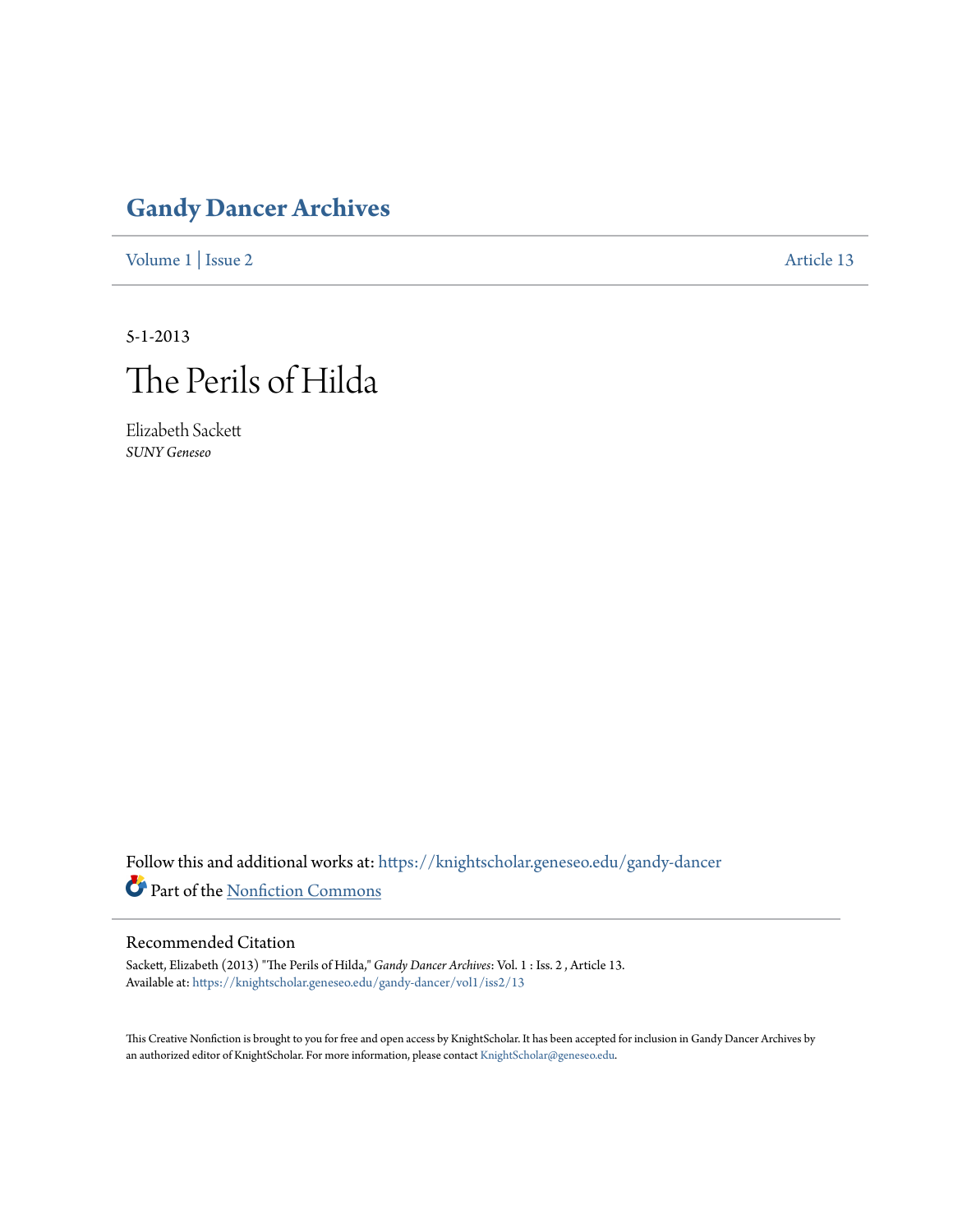## **[Gandy Dancer Archives](https://knightscholar.geneseo.edu/gandy-dancer?utm_source=knightscholar.geneseo.edu%2Fgandy-dancer%2Fvol1%2Fiss2%2F13&utm_medium=PDF&utm_campaign=PDFCoverPages)**

[Volume 1](https://knightscholar.geneseo.edu/gandy-dancer/vol1?utm_source=knightscholar.geneseo.edu%2Fgandy-dancer%2Fvol1%2Fiss2%2F13&utm_medium=PDF&utm_campaign=PDFCoverPages) | [Issue 2](https://knightscholar.geneseo.edu/gandy-dancer/vol1/iss2?utm_source=knightscholar.geneseo.edu%2Fgandy-dancer%2Fvol1%2Fiss2%2F13&utm_medium=PDF&utm_campaign=PDFCoverPages) [Article 13](https://knightscholar.geneseo.edu/gandy-dancer/vol1/iss2/13?utm_source=knightscholar.geneseo.edu%2Fgandy-dancer%2Fvol1%2Fiss2%2F13&utm_medium=PDF&utm_campaign=PDFCoverPages)

5-1-2013



Elizabeth Sackett *SUNY Geneseo*

Follow this and additional works at: [https://knightscholar.geneseo.edu/gandy-dancer](https://knightscholar.geneseo.edu/gandy-dancer?utm_source=knightscholar.geneseo.edu%2Fgandy-dancer%2Fvol1%2Fiss2%2F13&utm_medium=PDF&utm_campaign=PDFCoverPages) Part of the [Nonfiction Commons](http://network.bepress.com/hgg/discipline/1152?utm_source=knightscholar.geneseo.edu%2Fgandy-dancer%2Fvol1%2Fiss2%2F13&utm_medium=PDF&utm_campaign=PDFCoverPages)

## Recommended Citation

Sackett, Elizabeth (2013) "The Perils of Hilda," *Gandy Dancer Archives*: Vol. 1 : Iss. 2 , Article 13. Available at: [https://knightscholar.geneseo.edu/gandy-dancer/vol1/iss2/13](https://knightscholar.geneseo.edu/gandy-dancer/vol1/iss2/13?utm_source=knightscholar.geneseo.edu%2Fgandy-dancer%2Fvol1%2Fiss2%2F13&utm_medium=PDF&utm_campaign=PDFCoverPages)

This Creative Nonfiction is brought to you for free and open access by KnightScholar. It has been accepted for inclusion in Gandy Dancer Archives by an authorized editor of KnightScholar. For more information, please contact [KnightScholar@geneseo.edu](mailto:KnightScholar@geneseo.edu).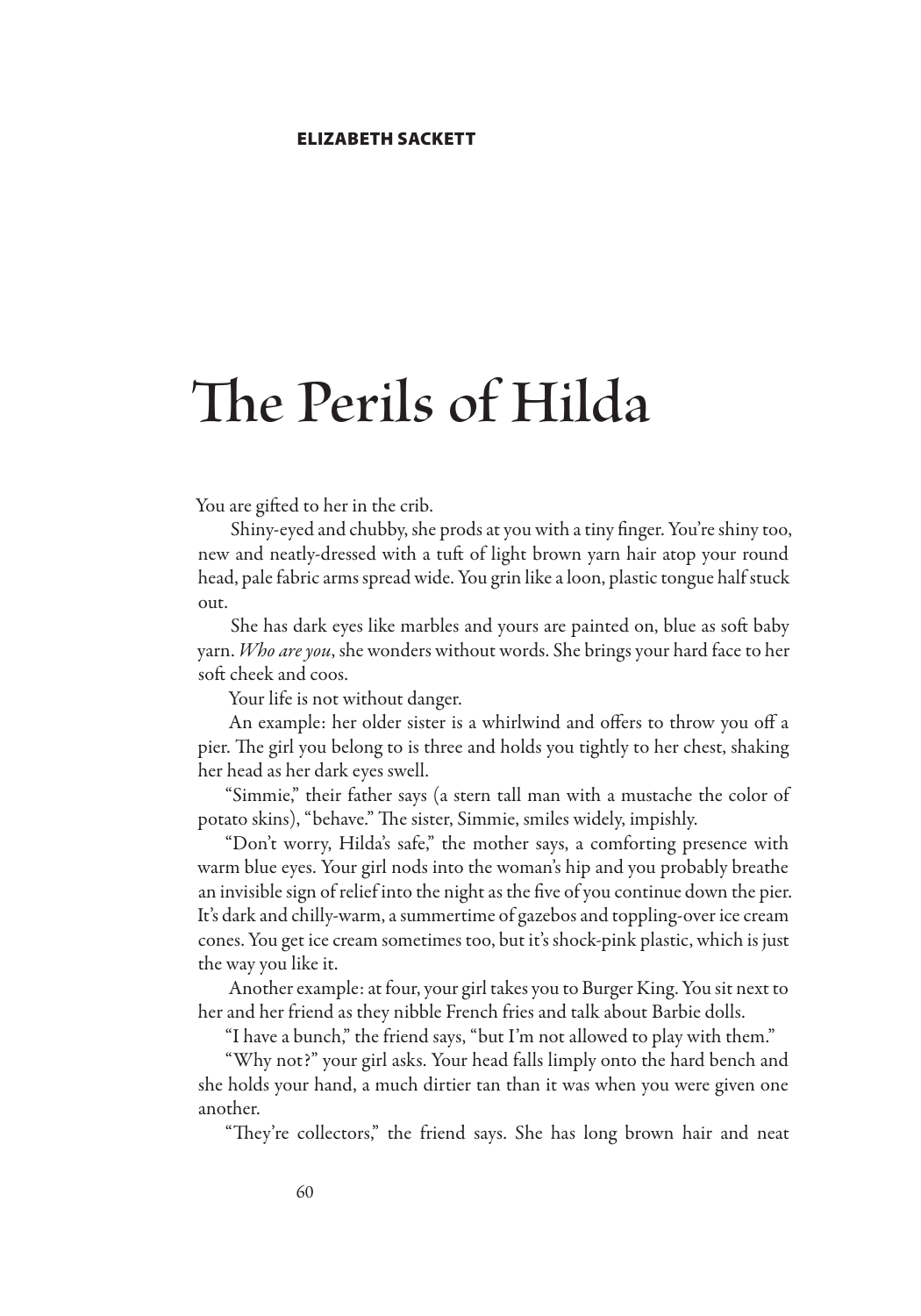## **The Perils of Hilda**

You are gifted to her in the crib.

Shiny-eyed and chubby, she prods at you with a tiny finger. You're shiny too, new and neatly-dressed with a tuft of light brown yarn hair atop your round head, pale fabric arms spread wide. You grin like a loon, plastic tongue half stuck out.

She has dark eyes like marbles and yours are painted on, blue as soft baby yarn. *Who are you*, she wonders without words. She brings your hard face to her soft cheek and coos.

Your life is not without danger.

An example: her older sister is a whirlwind and offers to throw you off a pier. The girl you belong to is three and holds you tightly to her chest, shaking her head as her dark eyes swell.

"Simmie," their father says (a stern tall man with a mustache the color of potato skins), "behave." The sister, Simmie, smiles widely, impishly.

"Don't worry, Hilda's safe," the mother says, a comforting presence with warm blue eyes. Your girl nods into the woman's hip and you probably breathe an invisible sign of relief into the night as the five of you continue down the pier. It's dark and chilly-warm, a summertime of gazebos and toppling-over ice cream cones. You get ice cream sometimes too, but it's shock-pink plastic, which is just the way you like it.

Another example: at four, your girl takes you to Burger King. You sit next to her and her friend as they nibble French fries and talk about Barbie dolls.

"I have a bunch," the friend says, "but I'm not allowed to play with them."

"Why not?" your girl asks. Your head falls limply onto the hard bench and she holds your hand, a much dirtier tan than it was when you were given one another.

"They're collectors," the friend says. She has long brown hair and neat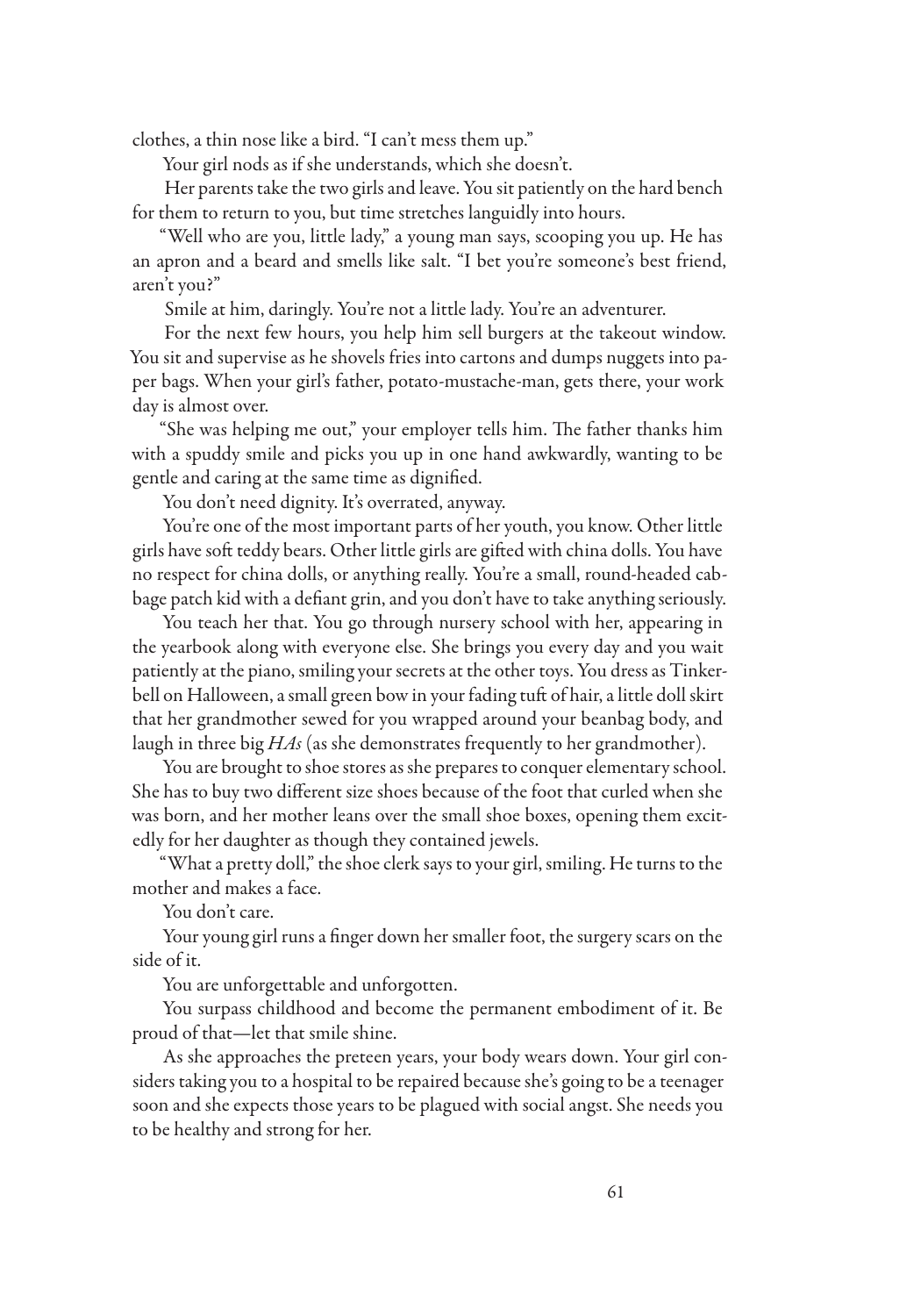clothes, a thin nose like a bird. "I can't mess them up."

Your girl nods as if she understands, which she doesn't.

Her parents take the two girls and leave. You sit patiently on the hard bench for them to return to you, but time stretches languidly into hours.

"Well who are you, little lady," a young man says, scooping you up. He has an apron and a beard and smells like salt. "I bet you're someone's best friend, aren't you?"

Smile at him, daringly. You're not a little lady. You're an adventurer.

For the next few hours, you help him sell burgers at the takeout window. You sit and supervise as he shovels fries into cartons and dumps nuggets into paper bags. When your girl's father, potato-mustache-man, gets there, your work day is almost over.

"She was helping me out," your employer tells him. The father thanks him with a spuddy smile and picks you up in one hand awkwardly, wanting to be gentle and caring at the same time as dignified.

You don't need dignity. It's overrated, anyway.

You're one of the most important parts of her youth, you know. Other little girls have soft teddy bears. Other little girls are gifted with china dolls. You have no respect for china dolls, or anything really. You're a small, round-headed cabbage patch kid with a defiant grin, and you don't have to take anything seriously.

You teach her that. You go through nursery school with her, appearing in the yearbook along with everyone else. She brings you every day and you wait patiently at the piano, smiling your secrets at the other toys. You dress as Tinkerbell on Halloween, a small green bow in your fading tuft of hair, a little doll skirt that her grandmother sewed for you wrapped around your beanbag body, and laugh in three big *HAs* (as she demonstrates frequently to her grandmother).

You are brought to shoe stores as she prepares to conquer elementary school. She has to buy two different size shoes because of the foot that curled when she was born, and her mother leans over the small shoe boxes, opening them excitedly for her daughter as though they contained jewels.

"What a pretty doll," the shoe clerk says to your girl, smiling. He turns to the mother and makes a face.

You don't care.

Your young girl runs a finger down her smaller foot, the surgery scars on the side of it.

You are unforgettable and unforgotten.

You surpass childhood and become the permanent embodiment of it. Be proud of that—let that smile shine.

As she approaches the preteen years, your body wears down. Your girl considers taking you to a hospital to be repaired because she's going to be a teenager soon and she expects those years to be plagued with social angst. She needs you to be healthy and strong for her.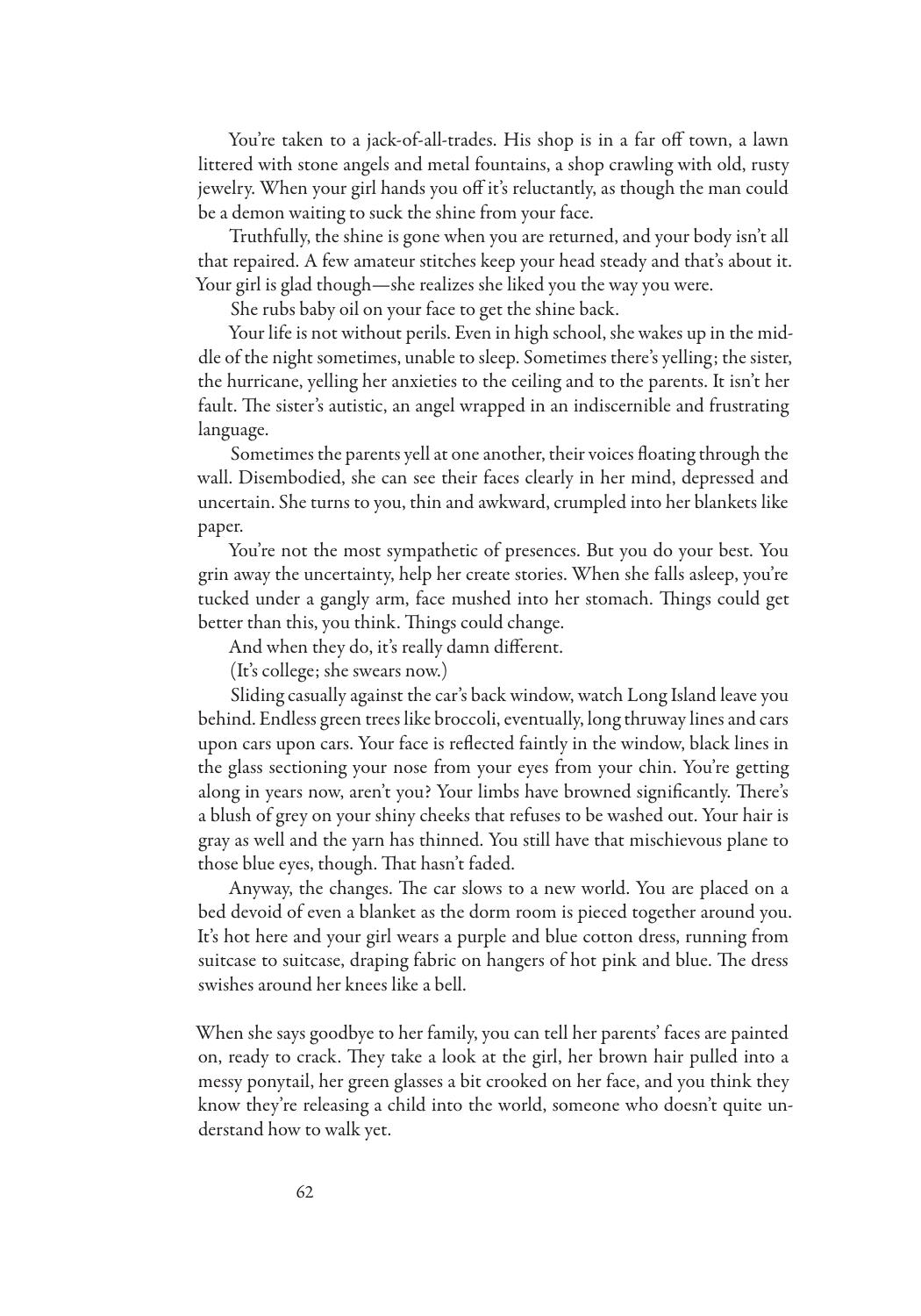You're taken to a jack-of-all-trades. His shop is in a far off town, a lawn littered with stone angels and metal fountains, a shop crawling with old, rusty jewelry. When your girl hands you off it's reluctantly, as though the man could be a demon waiting to suck the shine from your face.

Truthfully, the shine is gone when you are returned, and your body isn't all that repaired. A few amateur stitches keep your head steady and that's about it. Your girl is glad though—she realizes she liked you the way you were.

She rubs baby oil on your face to get the shine back.

Your life is not without perils. Even in high school, she wakes up in the middle of the night sometimes, unable to sleep. Sometimes there's yelling; the sister, the hurricane, yelling her anxieties to the ceiling and to the parents. It isn't her fault. The sister's autistic, an angel wrapped in an indiscernible and frustrating language.

Sometimes the parents yell at one another, their voices floating through the wall. Disembodied, she can see their faces clearly in her mind, depressed and uncertain. She turns to you, thin and awkward, crumpled into her blankets like paper.

You're not the most sympathetic of presences. But you do your best. You grin away the uncertainty, help her create stories. When she falls asleep, you're tucked under a gangly arm, face mushed into her stomach. Things could get better than this, you think. Things could change.

And when they do, it's really damn different.

(It's college; she swears now.)

Sliding casually against the car's back window, watch Long Island leave you behind. Endless green trees like broccoli, eventually, long thruway lines and cars upon cars upon cars. Your face is reflected faintly in the window, black lines in the glass sectioning your nose from your eyes from your chin. You're getting along in years now, aren't you? Your limbs have browned significantly. There's a blush of grey on your shiny cheeks that refuses to be washed out. Your hair is gray as well and the yarn has thinned. You still have that mischievous plane to those blue eyes, though. That hasn't faded.

Anyway, the changes. The car slows to a new world. You are placed on a bed devoid of even a blanket as the dorm room is pieced together around you. It's hot here and your girl wears a purple and blue cotton dress, running from suitcase to suitcase, draping fabric on hangers of hot pink and blue. The dress swishes around her knees like a bell.

When she says goodbye to her family, you can tell her parents' faces are painted on, ready to crack. They take a look at the girl, her brown hair pulled into a messy ponytail, her green glasses a bit crooked on her face, and you think they know they're releasing a child into the world, someone who doesn't quite understand how to walk yet.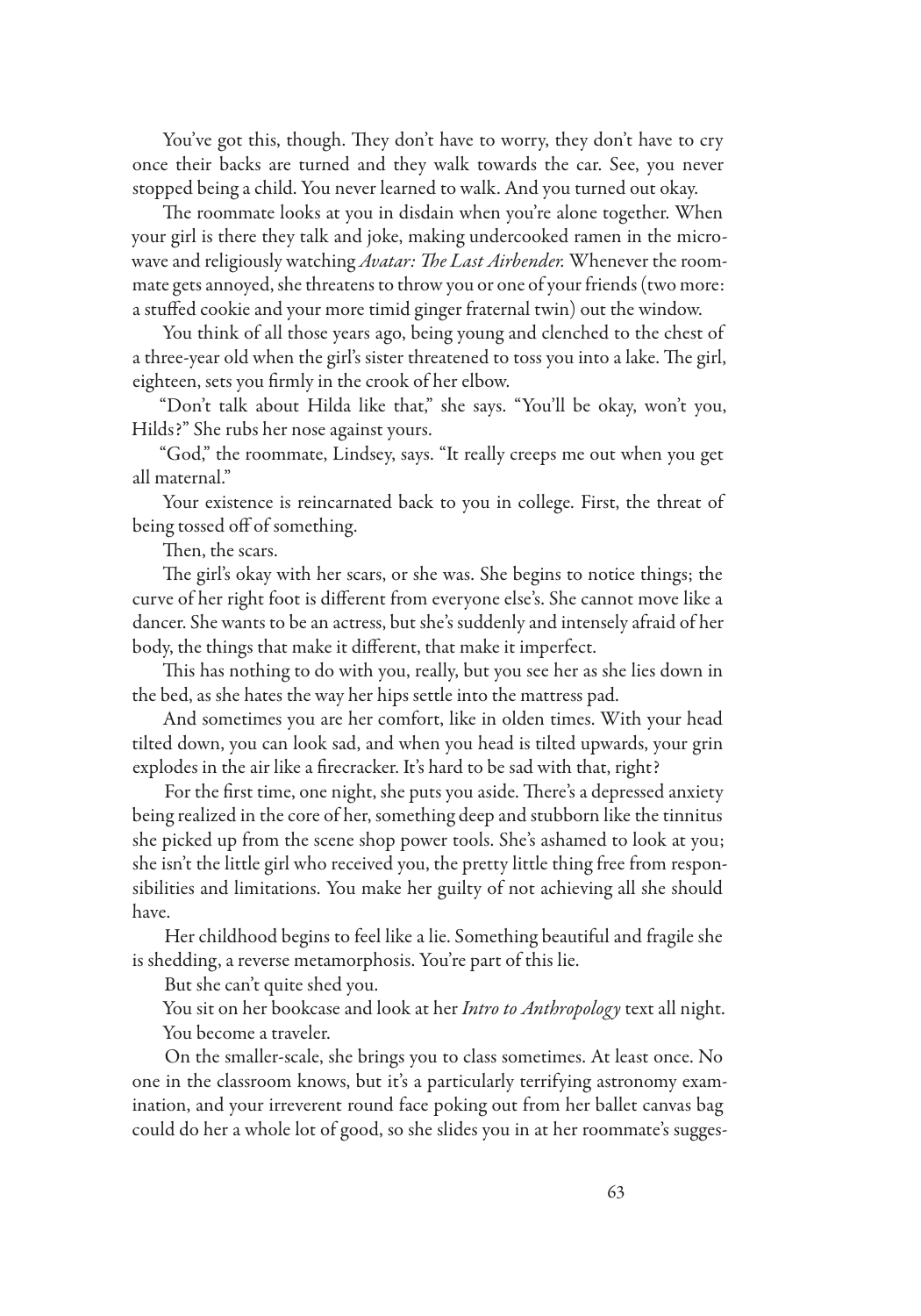You've got this, though. They don't have to worry, they don't have to cry once their backs are turned and they walk towards the car. See, you never stopped being a child. You never learned to walk. And you turned out okay.

The roommate looks at you in disdain when you're alone together. When your girl is there they talk and joke, making undercooked ramen in the microwave and religiously watching *Avatar: The Last Airbender.* Whenever the roommate gets annoyed, she threatens to throw you or one of your friends (two more: a stuffed cookie and your more timid ginger fraternal twin) out the window.

You think of all those years ago, being young and clenched to the chest of a three-year old when the girl's sister threatened to toss you into a lake. The girl, eighteen, sets you firmly in the crook of her elbow.

"Don't talk about Hilda like that," she says. "You'll be okay, won't you, Hilds?" She rubs her nose against yours.

"God," the roommate, Lindsey, says. "It really creeps me out when you get all maternal."

Your existence is reincarnated back to you in college. First, the threat of being tossed off of something.

Then, the scars.

The girl's okay with her scars, or she was. She begins to notice things; the curve of her right foot is different from everyone else's. She cannot move like a dancer. She wants to be an actress, but she's suddenly and intensely afraid of her body, the things that make it different, that make it imperfect.

This has nothing to do with you, really, but you see her as she lies down in the bed, as she hates the way her hips settle into the mattress pad.

And sometimes you are her comfort, like in olden times. With your head tilted down, you can look sad, and when you head is tilted upwards, your grin explodes in the air like a firecracker. It's hard to be sad with that, right?

For the first time, one night, she puts you aside. There's a depressed anxiety being realized in the core of her, something deep and stubborn like the tinnitus she picked up from the scene shop power tools. She's ashamed to look at you; she isn't the little girl who received you, the pretty little thing free from responsibilities and limitations. You make her guilty of not achieving all she should have.

Her childhood begins to feel like a lie. Something beautiful and fragile she is shedding, a reverse metamorphosis. You're part of this lie.

But she can't quite shed you.

You sit on her bookcase and look at her *Intro to Anthropology* text all night. You become a traveler.

On the smaller-scale, she brings you to class sometimes. At least once. No one in the classroom knows, but it's a particularly terrifying astronomy examination, and your irreverent round face poking out from her ballet canvas bag could do her a whole lot of good, so she slides you in at her roommate's sugges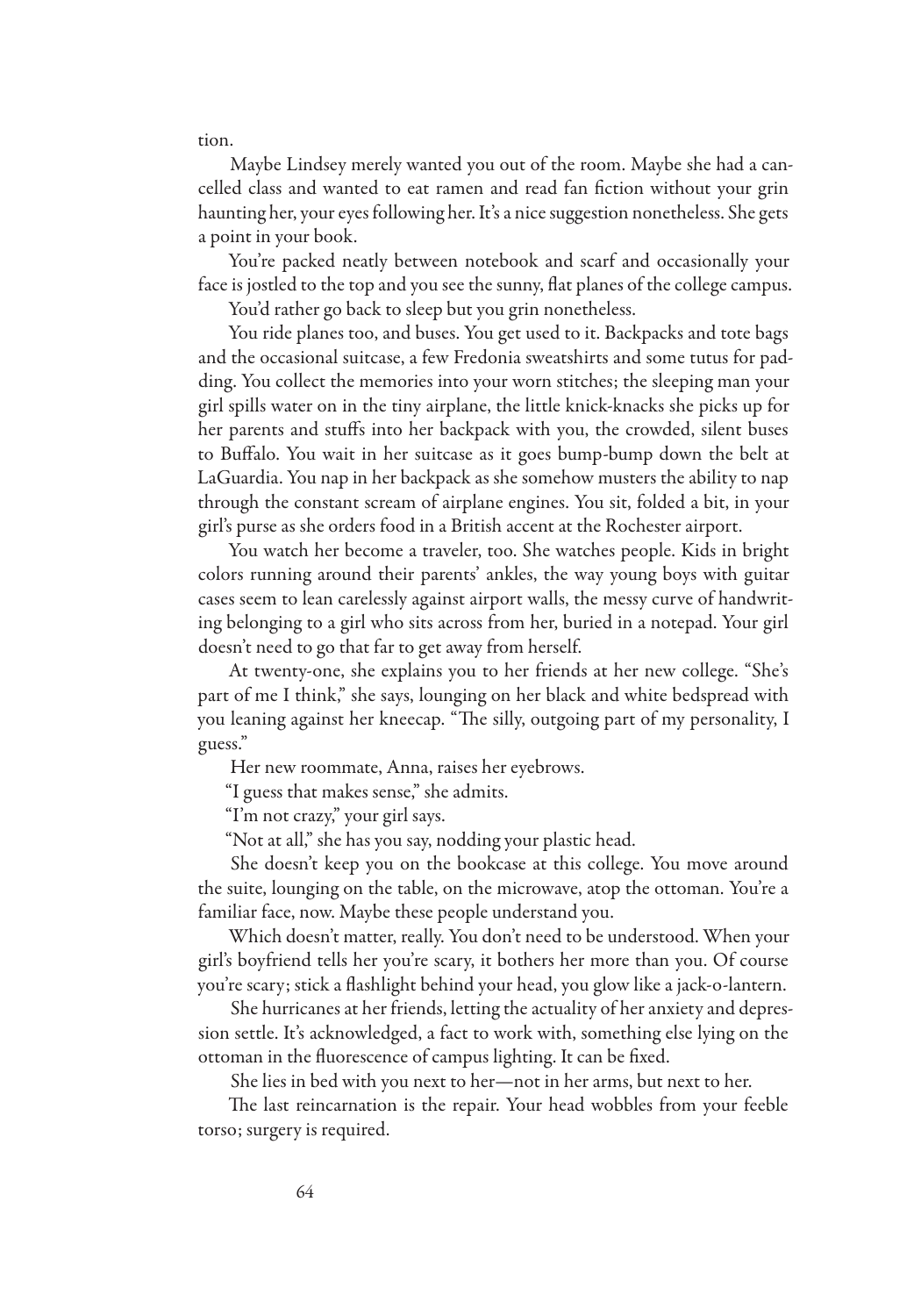tion.

Maybe Lindsey merely wanted you out of the room. Maybe she had a cancelled class and wanted to eat ramen and read fan fiction without your grin haunting her, your eyes following her. It's a nice suggestion nonetheless. She gets a point in your book.

You're packed neatly between notebook and scarf and occasionally your face is jostled to the top and you see the sunny, flat planes of the college campus.

You'd rather go back to sleep but you grin nonetheless.

You ride planes too, and buses. You get used to it. Backpacks and tote bags and the occasional suitcase, a few Fredonia sweatshirts and some tutus for padding. You collect the memories into your worn stitches; the sleeping man your girl spills water on in the tiny airplane, the little knick-knacks she picks up for her parents and stuffs into her backpack with you, the crowded, silent buses to Buffalo. You wait in her suitcase as it goes bump-bump down the belt at LaGuardia. You nap in her backpack as she somehow musters the ability to nap through the constant scream of airplane engines. You sit, folded a bit, in your girl's purse as she orders food in a British accent at the Rochester airport.

You watch her become a traveler, too. She watches people. Kids in bright colors running around their parents' ankles, the way young boys with guitar cases seem to lean carelessly against airport walls, the messy curve of handwriting belonging to a girl who sits across from her, buried in a notepad. Your girl doesn't need to go that far to get away from herself.

At twenty-one, she explains you to her friends at her new college. "She's part of me I think," she says, lounging on her black and white bedspread with you leaning against her kneecap. "The silly, outgoing part of my personality, I guess."

Her new roommate, Anna, raises her eyebrows.

"I guess that makes sense," she admits.

"I'm not crazy," your girl says.

"Not at all," she has you say, nodding your plastic head.

She doesn't keep you on the bookcase at this college. You move around the suite, lounging on the table, on the microwave, atop the ottoman. You're a familiar face, now. Maybe these people understand you.

Which doesn't matter, really. You don't need to be understood. When your girl's boyfriend tells her you're scary, it bothers her more than you. Of course you're scary; stick a flashlight behind your head, you glow like a jack-o-lantern.

She hurricanes at her friends, letting the actuality of her anxiety and depression settle. It's acknowledged, a fact to work with, something else lying on the ottoman in the fluorescence of campus lighting. It can be fixed.

She lies in bed with you next to her—not in her arms, but next to her.

The last reincarnation is the repair. Your head wobbles from your feeble torso; surgery is required.